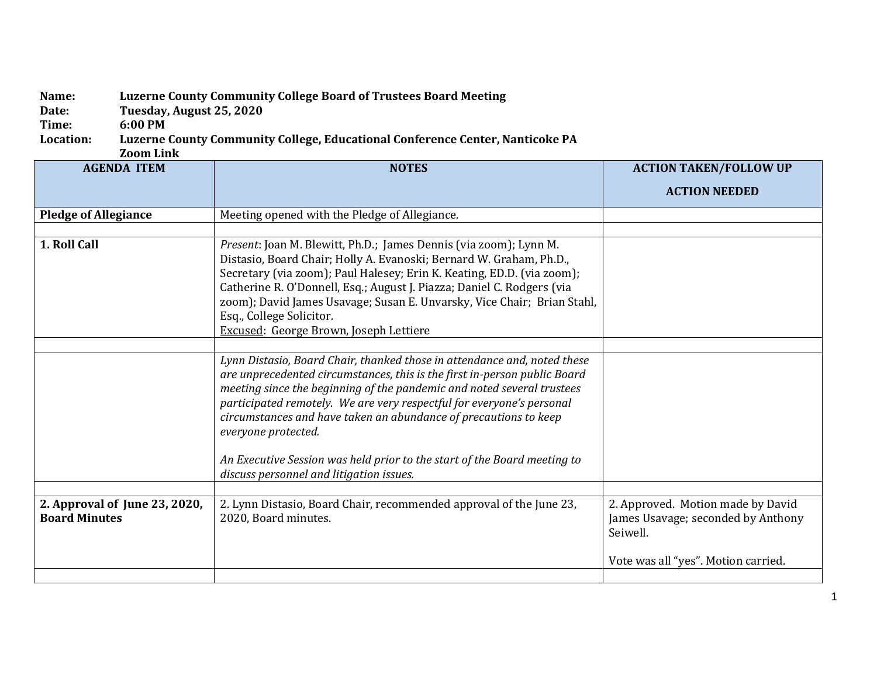## **Name: Luzerne County Community College Board of Trustees Board Meeting**

**Date: Tuesday, August 25, 2020**

## Time: 6:00 PM<br>Location: Luzerne Luzerne County Community College, Educational Conference Center, Nanticoke PA

**Zoom Link**

| <b>AGENDA ITEM</b>                                    | <b>NOTES</b>                                                                                                                                                                                                                                                                                                                                                                                                                                  | <b>ACTION TAKEN/FOLLOW UP</b>                                                       |
|-------------------------------------------------------|-----------------------------------------------------------------------------------------------------------------------------------------------------------------------------------------------------------------------------------------------------------------------------------------------------------------------------------------------------------------------------------------------------------------------------------------------|-------------------------------------------------------------------------------------|
|                                                       |                                                                                                                                                                                                                                                                                                                                                                                                                                               | <b>ACTION NEEDED</b>                                                                |
| <b>Pledge of Allegiance</b>                           | Meeting opened with the Pledge of Allegiance.                                                                                                                                                                                                                                                                                                                                                                                                 |                                                                                     |
|                                                       |                                                                                                                                                                                                                                                                                                                                                                                                                                               |                                                                                     |
| 1. Roll Call                                          | Present: Joan M. Blewitt, Ph.D.; James Dennis (via zoom); Lynn M.<br>Distasio, Board Chair; Holly A. Evanoski; Bernard W. Graham, Ph.D.,<br>Secretary (via zoom); Paul Halesey; Erin K. Keating, ED.D. (via zoom);<br>Catherine R. O'Donnell, Esq.; August J. Piazza; Daniel C. Rodgers (via<br>zoom); David James Usavage; Susan E. Unvarsky, Vice Chair; Brian Stahl,<br>Esq., College Solicitor.<br>Excused: George Brown, Joseph Lettiere |                                                                                     |
|                                                       |                                                                                                                                                                                                                                                                                                                                                                                                                                               |                                                                                     |
|                                                       | Lynn Distasio, Board Chair, thanked those in attendance and, noted these<br>are unprecedented circumstances, this is the first in-person public Board<br>meeting since the beginning of the pandemic and noted several trustees<br>participated remotely. We are very respectful for everyone's personal<br>circumstances and have taken an abundance of precautions to keep<br>everyone protected.                                           |                                                                                     |
|                                                       | An Executive Session was held prior to the start of the Board meeting to<br>discuss personnel and litigation issues.                                                                                                                                                                                                                                                                                                                          |                                                                                     |
|                                                       |                                                                                                                                                                                                                                                                                                                                                                                                                                               |                                                                                     |
| 2. Approval of June 23, 2020,<br><b>Board Minutes</b> | 2. Lynn Distasio, Board Chair, recommended approval of the June 23,<br>2020, Board minutes.                                                                                                                                                                                                                                                                                                                                                   | 2. Approved. Motion made by David<br>James Usavage; seconded by Anthony<br>Seiwell. |
|                                                       |                                                                                                                                                                                                                                                                                                                                                                                                                                               | Vote was all "yes". Motion carried.                                                 |
|                                                       |                                                                                                                                                                                                                                                                                                                                                                                                                                               |                                                                                     |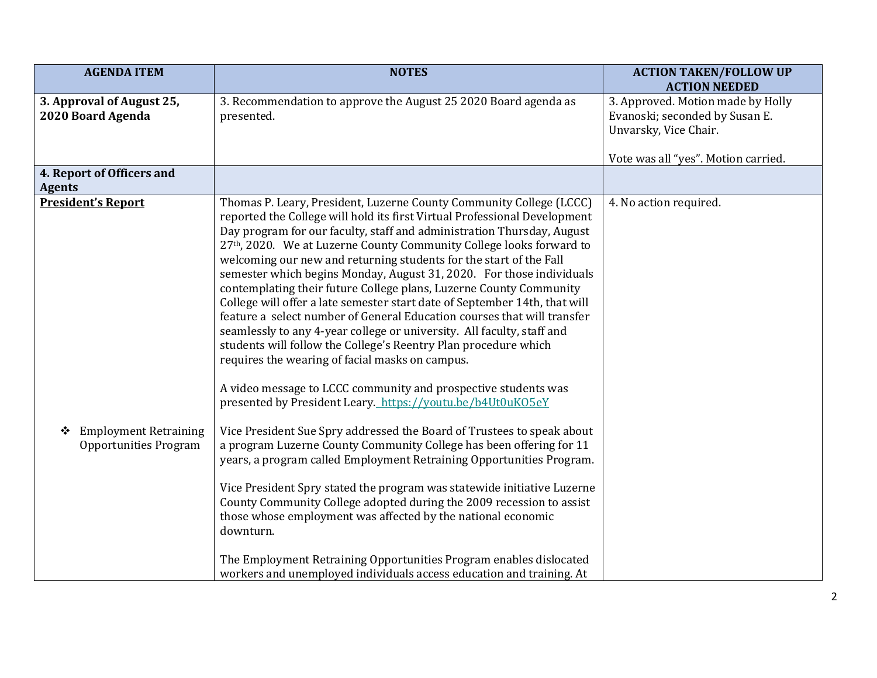| <b>AGENDA ITEM</b>                                                | <b>NOTES</b>                                                                                                                                                                                                                                                                                                                                                                                                                                                                                                                                                                                                                                                                                                                                                                                                                                                                   | <b>ACTION TAKEN/FOLLOW UP</b><br><b>ACTION NEEDED</b>                                        |
|-------------------------------------------------------------------|--------------------------------------------------------------------------------------------------------------------------------------------------------------------------------------------------------------------------------------------------------------------------------------------------------------------------------------------------------------------------------------------------------------------------------------------------------------------------------------------------------------------------------------------------------------------------------------------------------------------------------------------------------------------------------------------------------------------------------------------------------------------------------------------------------------------------------------------------------------------------------|----------------------------------------------------------------------------------------------|
| 3. Approval of August 25,<br>2020 Board Agenda                    | 3. Recommendation to approve the August 25 2020 Board agenda as<br>presented.                                                                                                                                                                                                                                                                                                                                                                                                                                                                                                                                                                                                                                                                                                                                                                                                  | 3. Approved. Motion made by Holly<br>Evanoski; seconded by Susan E.<br>Unvarsky, Vice Chair. |
|                                                                   |                                                                                                                                                                                                                                                                                                                                                                                                                                                                                                                                                                                                                                                                                                                                                                                                                                                                                | Vote was all "yes". Motion carried.                                                          |
| 4. Report of Officers and<br><b>Agents</b>                        |                                                                                                                                                                                                                                                                                                                                                                                                                                                                                                                                                                                                                                                                                                                                                                                                                                                                                |                                                                                              |
| <b>President's Report</b>                                         | Thomas P. Leary, President, Luzerne County Community College (LCCC)<br>reported the College will hold its first Virtual Professional Development<br>Day program for our faculty, staff and administration Thursday, August<br>27th, 2020. We at Luzerne County Community College looks forward to<br>welcoming our new and returning students for the start of the Fall<br>semester which begins Monday, August 31, 2020. For those individuals<br>contemplating their future College plans, Luzerne County Community<br>College will offer a late semester start date of September 14th, that will<br>feature a select number of General Education courses that will transfer<br>seamlessly to any 4-year college or university. All faculty, staff and<br>students will follow the College's Reentry Plan procedure which<br>requires the wearing of facial masks on campus. | 4. No action required.                                                                       |
|                                                                   | A video message to LCCC community and prospective students was<br>presented by President Leary. https://youtu.be/b4Ut0uKO5eY                                                                                                                                                                                                                                                                                                                                                                                                                                                                                                                                                                                                                                                                                                                                                   |                                                                                              |
| <b>Employment Retraining</b><br>❖<br><b>Opportunities Program</b> | Vice President Sue Spry addressed the Board of Trustees to speak about<br>a program Luzerne County Community College has been offering for 11<br>years, a program called Employment Retraining Opportunities Program.                                                                                                                                                                                                                                                                                                                                                                                                                                                                                                                                                                                                                                                          |                                                                                              |
|                                                                   | Vice President Spry stated the program was statewide initiative Luzerne<br>County Community College adopted during the 2009 recession to assist<br>those whose employment was affected by the national economic<br>downturn.                                                                                                                                                                                                                                                                                                                                                                                                                                                                                                                                                                                                                                                   |                                                                                              |
|                                                                   | The Employment Retraining Opportunities Program enables dislocated<br>workers and unemployed individuals access education and training. At                                                                                                                                                                                                                                                                                                                                                                                                                                                                                                                                                                                                                                                                                                                                     |                                                                                              |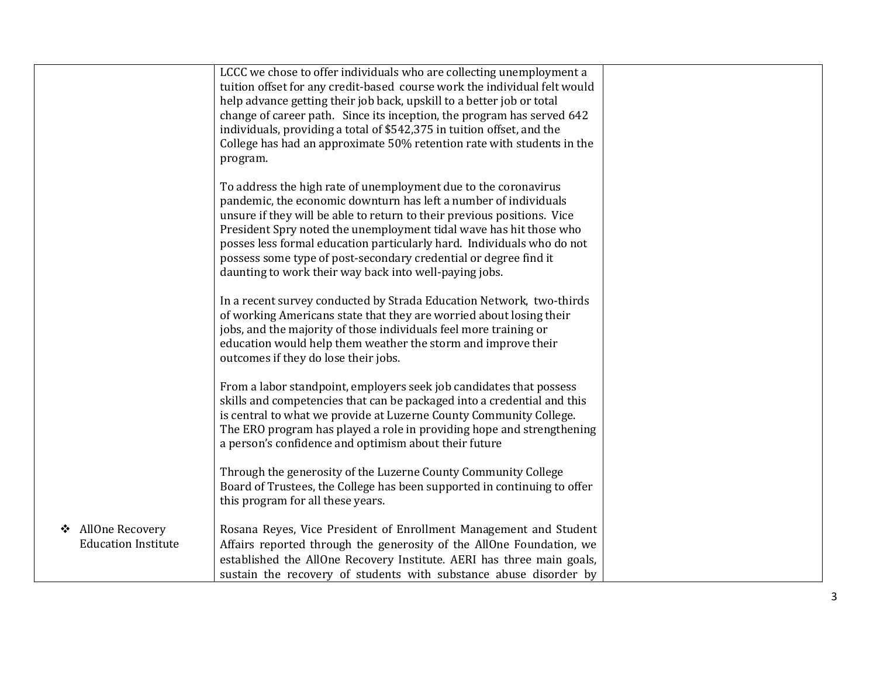|                            | LCCC we chose to offer individuals who are collecting unemployment a      |  |
|----------------------------|---------------------------------------------------------------------------|--|
|                            | tuition offset for any credit-based course work the individual felt would |  |
|                            | help advance getting their job back, upskill to a better job or total     |  |
|                            | change of career path. Since its inception, the program has served 642    |  |
|                            | individuals, providing a total of \$542,375 in tuition offset, and the    |  |
|                            | College has had an approximate 50% retention rate with students in the    |  |
|                            | program.                                                                  |  |
|                            |                                                                           |  |
|                            | To address the high rate of unemployment due to the coronavirus           |  |
|                            | pandemic, the economic downturn has left a number of individuals          |  |
|                            | unsure if they will be able to return to their previous positions. Vice   |  |
|                            | President Spry noted the unemployment tidal wave has hit those who        |  |
|                            | posses less formal education particularly hard. Individuals who do not    |  |
|                            | possess some type of post-secondary credential or degree find it          |  |
|                            | daunting to work their way back into well-paying jobs.                    |  |
|                            |                                                                           |  |
|                            | In a recent survey conducted by Strada Education Network, two-thirds      |  |
|                            | of working Americans state that they are worried about losing their       |  |
|                            | jobs, and the majority of those individuals feel more training or         |  |
|                            | education would help them weather the storm and improve their             |  |
|                            | outcomes if they do lose their jobs.                                      |  |
|                            |                                                                           |  |
|                            | From a labor standpoint, employers seek job candidates that possess       |  |
|                            | skills and competencies that can be packaged into a credential and this   |  |
|                            | is central to what we provide at Luzerne County Community College.        |  |
|                            | The ERO program has played a role in providing hope and strengthening     |  |
|                            | a person's confidence and optimism about their future                     |  |
|                            |                                                                           |  |
|                            | Through the generosity of the Luzerne County Community College            |  |
|                            | Board of Trustees, the College has been supported in continuing to offer  |  |
|                            | this program for all these years.                                         |  |
|                            |                                                                           |  |
| AllOne Recovery<br>❖       | Rosana Reyes, Vice President of Enrollment Management and Student         |  |
| <b>Education Institute</b> | Affairs reported through the generosity of the AllOne Foundation, we      |  |
|                            | established the AllOne Recovery Institute. AERI has three main goals,     |  |
|                            | sustain the recovery of students with substance abuse disorder by         |  |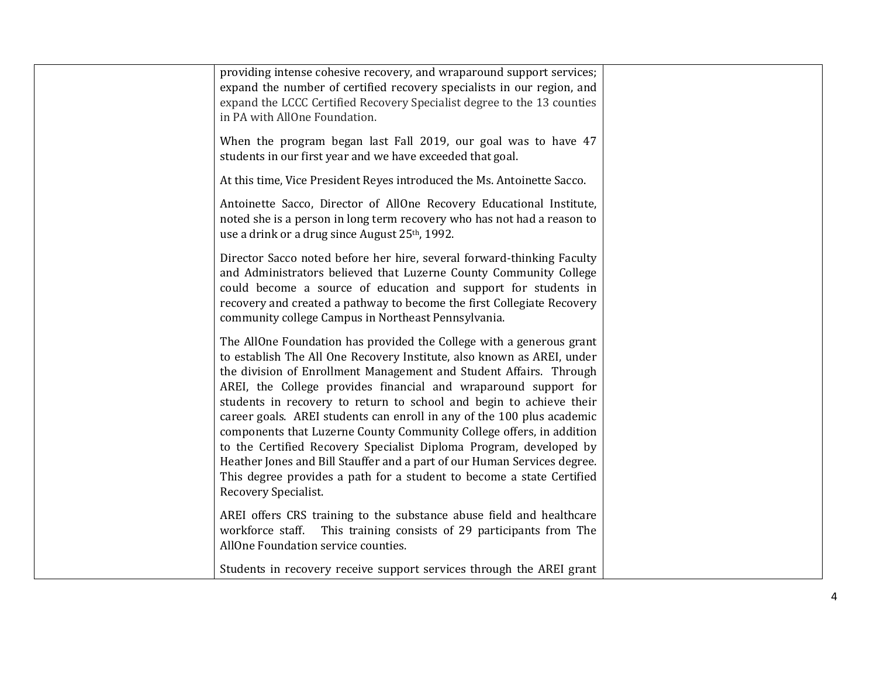| providing intense cohesive recovery, and wraparound support services;<br>expand the number of certified recovery specialists in our region, and<br>expand the LCCC Certified Recovery Specialist degree to the 13 counties<br>in PA with AllOne Foundation.<br>When the program began last Fall 2019, our goal was to have 47<br>students in our first year and we have exceeded that goal.                                                                                                                                                                                                                                                                                                                                                                         |  |
|---------------------------------------------------------------------------------------------------------------------------------------------------------------------------------------------------------------------------------------------------------------------------------------------------------------------------------------------------------------------------------------------------------------------------------------------------------------------------------------------------------------------------------------------------------------------------------------------------------------------------------------------------------------------------------------------------------------------------------------------------------------------|--|
| At this time, Vice President Reyes introduced the Ms. Antoinette Sacco.                                                                                                                                                                                                                                                                                                                                                                                                                                                                                                                                                                                                                                                                                             |  |
| Antoinette Sacco, Director of AllOne Recovery Educational Institute,<br>noted she is a person in long term recovery who has not had a reason to<br>use a drink or a drug since August 25th, 1992.                                                                                                                                                                                                                                                                                                                                                                                                                                                                                                                                                                   |  |
| Director Sacco noted before her hire, several forward-thinking Faculty<br>and Administrators believed that Luzerne County Community College<br>could become a source of education and support for students in<br>recovery and created a pathway to become the first Collegiate Recovery<br>community college Campus in Northeast Pennsylvania.                                                                                                                                                                                                                                                                                                                                                                                                                      |  |
| The AllOne Foundation has provided the College with a generous grant<br>to establish The All One Recovery Institute, also known as AREI, under<br>the division of Enrollment Management and Student Affairs. Through<br>AREI, the College provides financial and wraparound support for<br>students in recovery to return to school and begin to achieve their<br>career goals. AREI students can enroll in any of the 100 plus academic<br>components that Luzerne County Community College offers, in addition<br>to the Certified Recovery Specialist Diploma Program, developed by<br>Heather Jones and Bill Stauffer and a part of our Human Services degree.<br>This degree provides a path for a student to become a state Certified<br>Recovery Specialist. |  |
| AREI offers CRS training to the substance abuse field and healthcare<br>workforce staff. This training consists of 29 participants from The<br>AllOne Foundation service counties.                                                                                                                                                                                                                                                                                                                                                                                                                                                                                                                                                                                  |  |
| Students in recovery receive support services through the AREI grant                                                                                                                                                                                                                                                                                                                                                                                                                                                                                                                                                                                                                                                                                                |  |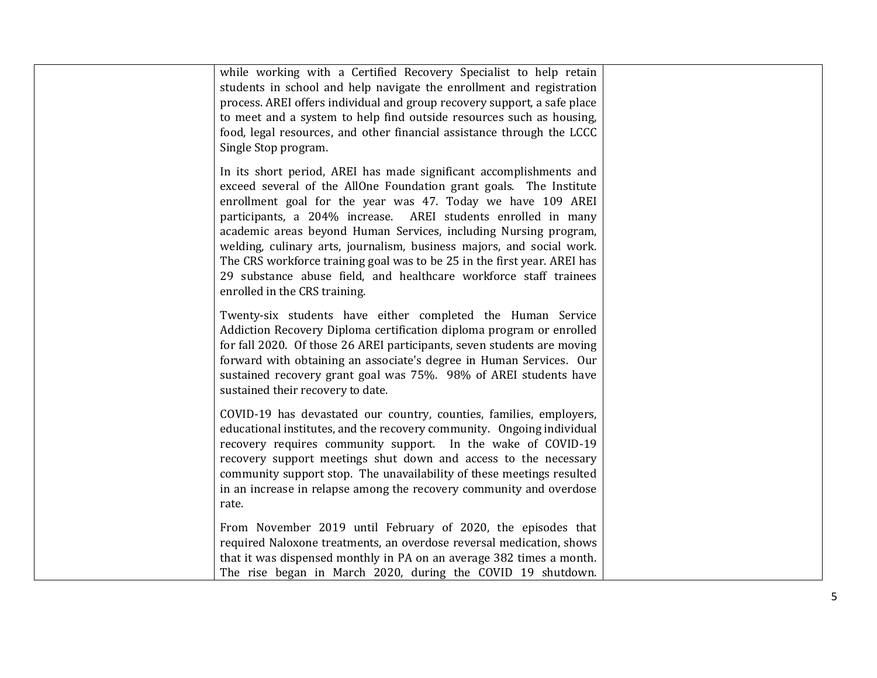| while working with a Certified Recovery Specialist to help retain<br>students in school and help navigate the enrollment and registration<br>process. AREI offers individual and group recovery support, a safe place<br>to meet and a system to help find outside resources such as housing,<br>food, legal resources, and other financial assistance through the LCCC<br>Single Stop program.                                                                                                                                                                                                         |  |
|---------------------------------------------------------------------------------------------------------------------------------------------------------------------------------------------------------------------------------------------------------------------------------------------------------------------------------------------------------------------------------------------------------------------------------------------------------------------------------------------------------------------------------------------------------------------------------------------------------|--|
| In its short period, AREI has made significant accomplishments and<br>exceed several of the AllOne Foundation grant goals. The Institute<br>enrollment goal for the year was 47. Today we have 109 AREI<br>participants, a 204% increase. AREI students enrolled in many<br>academic areas beyond Human Services, including Nursing program,<br>welding, culinary arts, journalism, business majors, and social work.<br>The CRS workforce training goal was to be 25 in the first year. AREI has<br>29 substance abuse field, and healthcare workforce staff trainees<br>enrolled in the CRS training. |  |
| Twenty-six students have either completed the Human Service<br>Addiction Recovery Diploma certification diploma program or enrolled<br>for fall 2020. Of those 26 AREI participants, seven students are moving<br>forward with obtaining an associate's degree in Human Services. Our<br>sustained recovery grant goal was 75%. 98% of AREI students have<br>sustained their recovery to date.                                                                                                                                                                                                          |  |
| COVID-19 has devastated our country, counties, families, employers,<br>educational institutes, and the recovery community. Ongoing individual<br>recovery requires community support. In the wake of COVID-19<br>recovery support meetings shut down and access to the necessary<br>community support stop. The unavailability of these meetings resulted<br>in an increase in relapse among the recovery community and overdose<br>rate.                                                                                                                                                               |  |
| From November 2019 until February of 2020, the episodes that<br>required Naloxone treatments, an overdose reversal medication, shows<br>that it was dispensed monthly in PA on an average 382 times a month.<br>The rise began in March 2020, during the COVID 19 shutdown.                                                                                                                                                                                                                                                                                                                             |  |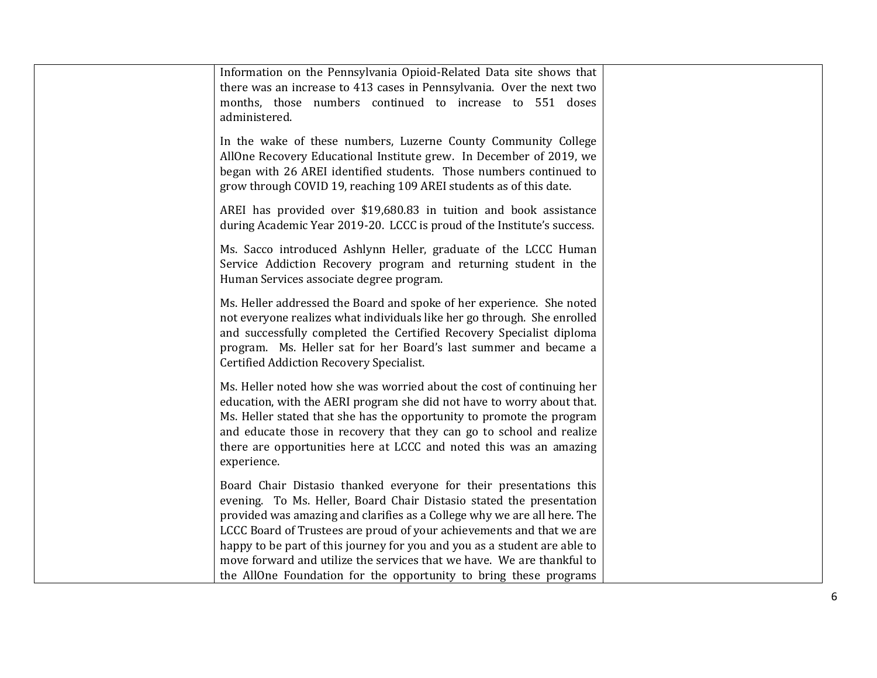| Information on the Pennsylvania Opioid-Related Data site shows that<br>there was an increase to 413 cases in Pennsylvania. Over the next two<br>months, those numbers continued to increase to 551 doses<br>administered.                                                                                                                                                                                                                                                                                                   |  |
|-----------------------------------------------------------------------------------------------------------------------------------------------------------------------------------------------------------------------------------------------------------------------------------------------------------------------------------------------------------------------------------------------------------------------------------------------------------------------------------------------------------------------------|--|
| In the wake of these numbers, Luzerne County Community College<br>AllOne Recovery Educational Institute grew. In December of 2019, we<br>began with 26 AREI identified students. Those numbers continued to<br>grow through COVID 19, reaching 109 AREI students as of this date.                                                                                                                                                                                                                                           |  |
| AREI has provided over \$19,680.83 in tuition and book assistance<br>during Academic Year 2019-20. LCCC is proud of the Institute's success.                                                                                                                                                                                                                                                                                                                                                                                |  |
| Ms. Sacco introduced Ashlynn Heller, graduate of the LCCC Human<br>Service Addiction Recovery program and returning student in the<br>Human Services associate degree program.                                                                                                                                                                                                                                                                                                                                              |  |
| Ms. Heller addressed the Board and spoke of her experience. She noted<br>not everyone realizes what individuals like her go through. She enrolled<br>and successfully completed the Certified Recovery Specialist diploma<br>program. Ms. Heller sat for her Board's last summer and became a<br>Certified Addiction Recovery Specialist.                                                                                                                                                                                   |  |
| Ms. Heller noted how she was worried about the cost of continuing her<br>education, with the AERI program she did not have to worry about that.<br>Ms. Heller stated that she has the opportunity to promote the program<br>and educate those in recovery that they can go to school and realize<br>there are opportunities here at LCCC and noted this was an amazing<br>experience.                                                                                                                                       |  |
| Board Chair Distasio thanked everyone for their presentations this<br>evening. To Ms. Heller, Board Chair Distasio stated the presentation<br>provided was amazing and clarifies as a College why we are all here. The<br>LCCC Board of Trustees are proud of your achievements and that we are<br>happy to be part of this journey for you and you as a student are able to<br>move forward and utilize the services that we have. We are thankful to<br>the AllOne Foundation for the opportunity to bring these programs |  |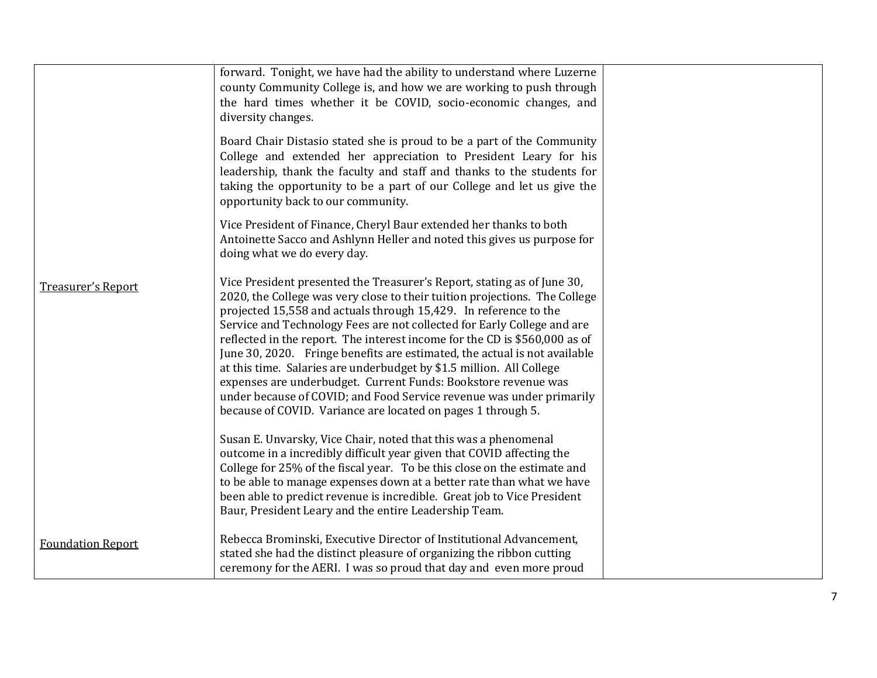|                           | forward. Tonight, we have had the ability to understand where Luzerne<br>county Community College is, and how we are working to push through<br>the hard times whether it be COVID, socio-economic changes, and<br>diversity changes.                                                                                                                                                                                                                                                                                                                                                                                                                                                                                                             |  |
|---------------------------|---------------------------------------------------------------------------------------------------------------------------------------------------------------------------------------------------------------------------------------------------------------------------------------------------------------------------------------------------------------------------------------------------------------------------------------------------------------------------------------------------------------------------------------------------------------------------------------------------------------------------------------------------------------------------------------------------------------------------------------------------|--|
|                           | Board Chair Distasio stated she is proud to be a part of the Community<br>College and extended her appreciation to President Leary for his<br>leadership, thank the faculty and staff and thanks to the students for<br>taking the opportunity to be a part of our College and let us give the<br>opportunity back to our community.                                                                                                                                                                                                                                                                                                                                                                                                              |  |
|                           | Vice President of Finance, Cheryl Baur extended her thanks to both<br>Antoinette Sacco and Ashlynn Heller and noted this gives us purpose for<br>doing what we do every day.                                                                                                                                                                                                                                                                                                                                                                                                                                                                                                                                                                      |  |
| <b>Treasurer's Report</b> | Vice President presented the Treasurer's Report, stating as of June 30,<br>2020, the College was very close to their tuition projections. The College<br>projected 15,558 and actuals through 15,429. In reference to the<br>Service and Technology Fees are not collected for Early College and are<br>reflected in the report. The interest income for the CD is \$560,000 as of<br>June 30, 2020. Fringe benefits are estimated, the actual is not available<br>at this time. Salaries are underbudget by \$1.5 million. All College<br>expenses are underbudget. Current Funds: Bookstore revenue was<br>under because of COVID; and Food Service revenue was under primarily<br>because of COVID. Variance are located on pages 1 through 5. |  |
|                           | Susan E. Unvarsky, Vice Chair, noted that this was a phenomenal<br>outcome in a incredibly difficult year given that COVID affecting the<br>College for 25% of the fiscal year. To be this close on the estimate and<br>to be able to manage expenses down at a better rate than what we have<br>been able to predict revenue is incredible. Great job to Vice President<br>Baur, President Leary and the entire Leadership Team.                                                                                                                                                                                                                                                                                                                 |  |
| <b>Foundation Report</b>  | Rebecca Brominski, Executive Director of Institutional Advancement,<br>stated she had the distinct pleasure of organizing the ribbon cutting<br>ceremony for the AERI. I was so proud that day and even more proud                                                                                                                                                                                                                                                                                                                                                                                                                                                                                                                                |  |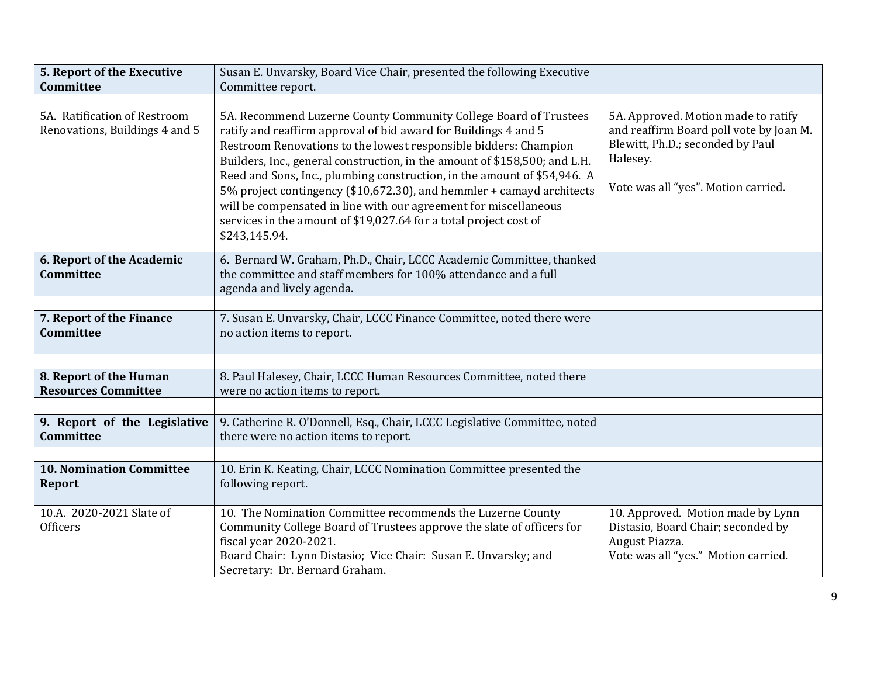| 5. Report of the Executive<br>Committee                        | Susan E. Unvarsky, Board Vice Chair, presented the following Executive<br>Committee report.                                                                                                                                                                                                                                                                                                                                                                                                                                                                                                          |                                                                                                                                                                       |
|----------------------------------------------------------------|------------------------------------------------------------------------------------------------------------------------------------------------------------------------------------------------------------------------------------------------------------------------------------------------------------------------------------------------------------------------------------------------------------------------------------------------------------------------------------------------------------------------------------------------------------------------------------------------------|-----------------------------------------------------------------------------------------------------------------------------------------------------------------------|
| 5A. Ratification of Restroom<br>Renovations, Buildings 4 and 5 | 5A. Recommend Luzerne County Community College Board of Trustees<br>ratify and reaffirm approval of bid award for Buildings 4 and 5<br>Restroom Renovations to the lowest responsible bidders: Champion<br>Builders, Inc., general construction, in the amount of \$158,500; and L.H.<br>Reed and Sons, Inc., plumbing construction, in the amount of \$54,946. A<br>5% project contingency (\$10,672.30), and hemmler + camayd architects<br>will be compensated in line with our agreement for miscellaneous<br>services in the amount of \$19,027.64 for a total project cost of<br>\$243,145.94. | 5A. Approved. Motion made to ratify<br>and reaffirm Board poll vote by Joan M.<br>Blewitt, Ph.D.; seconded by Paul<br>Halesey.<br>Vote was all "yes". Motion carried. |
| 6. Report of the Academic<br><b>Committee</b>                  | 6. Bernard W. Graham, Ph.D., Chair, LCCC Academic Committee, thanked<br>the committee and staff members for 100% attendance and a full<br>agenda and lively agenda.                                                                                                                                                                                                                                                                                                                                                                                                                                  |                                                                                                                                                                       |
| 7. Report of the Finance<br><b>Committee</b>                   | 7. Susan E. Unvarsky, Chair, LCCC Finance Committee, noted there were<br>no action items to report.                                                                                                                                                                                                                                                                                                                                                                                                                                                                                                  |                                                                                                                                                                       |
| 8. Report of the Human<br><b>Resources Committee</b>           | 8. Paul Halesey, Chair, LCCC Human Resources Committee, noted there<br>were no action items to report.                                                                                                                                                                                                                                                                                                                                                                                                                                                                                               |                                                                                                                                                                       |
| 9. Report of the Legislative<br>Committee                      | 9. Catherine R. O'Donnell, Esq., Chair, LCCC Legislative Committee, noted<br>there were no action items to report.                                                                                                                                                                                                                                                                                                                                                                                                                                                                                   |                                                                                                                                                                       |
| <b>10. Nomination Committee</b><br><b>Report</b>               | 10. Erin K. Keating, Chair, LCCC Nomination Committee presented the<br>following report.                                                                                                                                                                                                                                                                                                                                                                                                                                                                                                             |                                                                                                                                                                       |
| 10.A. 2020-2021 Slate of<br><b>Officers</b>                    | 10. The Nomination Committee recommends the Luzerne County<br>Community College Board of Trustees approve the slate of officers for<br>fiscal year 2020-2021.<br>Board Chair: Lynn Distasio; Vice Chair: Susan E. Unvarsky; and<br>Secretary: Dr. Bernard Graham.                                                                                                                                                                                                                                                                                                                                    | 10. Approved. Motion made by Lynn<br>Distasio, Board Chair; seconded by<br>August Piazza.<br>Vote was all "yes." Motion carried.                                      |